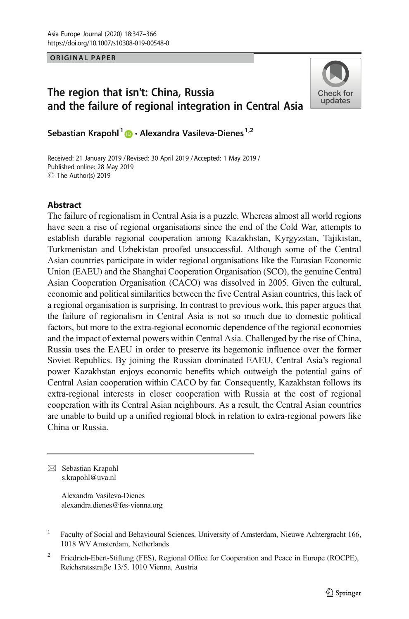**ORIGINAL PAPER** 

# The region that isn't: China, Russia and the failure of regional integration in Central Asia



Sebastian Krapohl<sup>1</sup>  $\bullet$  · Alexandra Vasileva-Dienes<sup>1,2</sup>

Received: 21 January 2019 / Revised: 30 April 2019 / Accepted: 1 May 2019 / $\circledcirc$  The Author(s) 2019 Published online: 28 May 2019

# Abstract

The failure of regionalism in Central Asia is a puzzle. Whereas almost all world regions have seen a rise of regional organisations since the end of the Cold War, attempts to establish durable regional cooperation among Kazakhstan, Kyrgyzstan, Tajikistan, Turkmenistan and Uzbekistan proofed unsuccessful. Although some of the Central Asian countries participate in wider regional organisations like the Eurasian Economic Union (EAEU) and the Shanghai Cooperation Organisation (SCO), the genuine Central Asian Cooperation Organisation (CACO) was dissolved in 2005. Given the cultural, economic and political similarities between the five Central Asian countries, this lack of a regional organisation is surprising. In contrast to previous work, this paper argues that the failure of regionalism in Central Asia is not so much due to domestic political factors, but more to the extra-regional economic dependence of the regional economies and the impact of external powers within Central Asia. Challenged by the rise of China, Russia uses the EAEU in order to preserve its hegemonic influence over the former Soviet Republics. By joining the Russian dominated EAEU, Central Asia's regional power Kazakhstan enjoys economic benefits which outweigh the potential gains of Central Asian cooperation within CACO by far. Consequently, Kazakhstan follows its extra-regional interests in closer cooperation with Russia at the cost of regional cooperation with its Central Asian neighbours. As a result, the Central Asian countries are unable to build up a unified regional block in relation to extra-regional powers like China or Russia.

 $\boxtimes$  Sebastian Krapohl [s.krapohl@uva.nl](mailto:s.krapohl@uva.nl)

> Alexandra Vasileva-Dienes alexandra.dienes@fes-vienna.org

<sup>2</sup> Friedrich-Ebert-Stiftung (FES), Regional Office for Cooperation and Peace in Europe (ROCPE), Reichsratsstraβe 13/5, 1010 Vienna, Austria

<sup>&</sup>lt;sup>1</sup> Faculty of Social and Behavioural Sciences, University of Amsterdam, Nieuwe Achtergracht 166, 1018 WV Amsterdam, Netherlands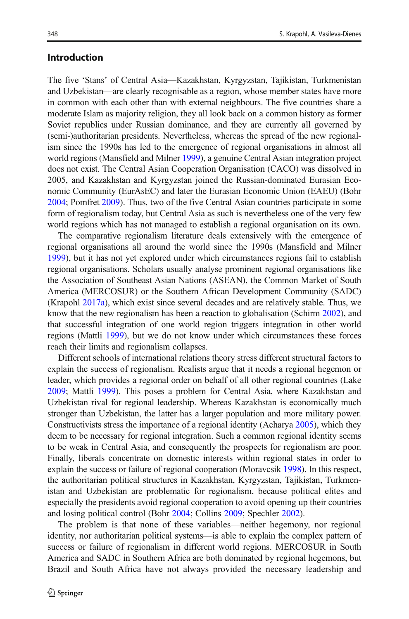## Introduction

The five 'Stans' of Central Asia—Kazakhstan, Kyrgyzstan, Tajikistan, Turkmenistan and Uzbekistan—are clearly recognisable as a region, whose member states have more in common with each other than with external neighbours. The five countries share a moderate Islam as majority religion, they all look back on a common history as former Soviet republics under Russian dominance, and they are currently all governed by (semi-)authoritarian presidents. Nevertheless, whereas the spread of the new regionalism since the 1990s has led to the emergence of regional organisations in almost all world regions (Mansfield and Milner [1999](#page-18-0)), a genuine Central Asian integration project does not exist. The Central Asian Cooperation Organisation (CACO) was dissolved in 2005, and Kazakhstan and Kyrgyzstan joined the Russian-dominated Eurasian Economic Community (EurAsEC) and later the Eurasian Economic Union (EAEU) (Bohr [2004;](#page-16-0) Pomfret [2009\)](#page-18-0). Thus, two of the five Central Asian countries participate in some form of regionalism today, but Central Asia as such is nevertheless one of the very few world regions which has not managed to establish a regional organisation on its own.

The comparative regionalism literature deals extensively with the emergence of regional organisations all around the world since the 1990s (Mansfield and Milner [1999\)](#page-18-0), but it has not yet explored under which circumstances regions fail to establish regional organisations. Scholars usually analyse prominent regional organisations like the Association of Southeast Asian Nations (ASEAN), the Common Market of South America (MERCOSUR) or the Southern African Development Community (SADC) (Krapohl [2017a\)](#page-17-0), which exist since several decades and are relatively stable. Thus, we know that the new regionalism has been a reaction to globalisation (Schirm [2002](#page-18-0)), and that successful integration of one world region triggers integration in other world regions (Mattli [1999](#page-18-0)), but we do not know under which circumstances these forces reach their limits and regionalism collapses.

Different schools of international relations theory stress different structural factors to explain the success of regionalism. Realists argue that it needs a regional hegemon or leader, which provides a regional order on behalf of all other regional countries (Lake [2009;](#page-18-0) Mattli [1999](#page-18-0)). This poses a problem for Central Asia, where Kazakhstan and Uzbekistan rival for regional leadership. Whereas Kazakhstan is economically much stronger than Uzbekistan, the latter has a larger population and more military power. Constructivists stress the importance of a regional identity (Acharya [2005](#page-16-0)), which they deem to be necessary for regional integration. Such a common regional identity seems to be weak in Central Asia, and consequently the prospects for regionalism are poor. Finally, liberals concentrate on domestic interests within regional states in order to explain the success or failure of regional cooperation (Moravcsik [1998](#page-18-0)). In this respect, the authoritarian political structures in Kazakhstan, Kyrgyzstan, Tajikistan, Turkmenistan and Uzbekistan are problematic for regionalism, because political elites and especially the presidents avoid regional cooperation to avoid opening up their countries and losing political control (Bohr [2004](#page-16-0); Collins [2009](#page-16-0); Spechler [2002](#page-18-0)).

The problem is that none of these variables—neither hegemony, nor regional identity, nor authoritarian political systems—is able to explain the complex pattern of success or failure of regionalism in different world regions. MERCOSUR in South America and SADC in Southern Africa are both dominated by regional hegemons, but Brazil and South Africa have not always provided the necessary leadership and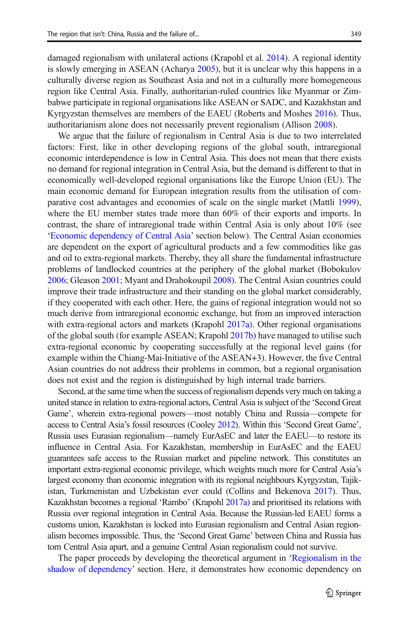damaged regionalism with unilateral actions (Krapohl et al. [2014](#page-17-0)). A regional identity is slowly emerging in ASEAN (Acharya [2005\)](#page-16-0), but it is unclear why this happens in a culturally diverse region as Southeast Asia and not in a culturally more homogeneous region like Central Asia. Finally, authoritarian-ruled countries like Myanmar or Zimbabwe participate in regional organisations like ASEAN or SADC, and Kazakhstan and Kyrgyzstan themselves are members of the EAEU (Roberts and Moshes [2016\)](#page-18-0). Thus, authoritarianism alone does not necessarily prevent regionalism (Allison [2008](#page-16-0)).

We argue that the failure of regionalism in Central Asia is due to two interrelated factors: First, like in other developing regions of the global south, intraregional economic interdependence is low in Central Asia. This does not mean that there exists no demand for regional integration in Central Asia, but the demand is different to that in economically well-developed regional organisations like the Europe Union (EU). The main economic demand for European integration results from the utilisation of comparative cost advantages and economies of scale on the single market (Mattli [1999\)](#page-18-0), where the EU member states trade more than 60% of their exports and imports. In contrast, the share of intraregional trade within Central Asia is only about 10% (see '[Economic dependency of Central Asia](#page-6-0)' section below). The Central Asian economies are dependent on the export of agricultural products and a few commodities like gas and oil to extra-regional markets. Thereby, they all share the fundamental infrastructure problems of landlocked countries at the periphery of the global market (Bobokulov [2006;](#page-16-0) Gleason [2001](#page-17-0); Myant and Drahokoupil [2008\)](#page-18-0). The Central Asian countries could improve their trade infrastructure and their standing on the global market considerably, if they cooperated with each other. Here, the gains of regional integration would not so much derive from intraregional economic exchange, but from an improved interaction with extra-regional actors and markets (Krapohl [2017a\)](#page-17-0). Other regional organisations of the global south (for example ASEAN; Krapohl [2017b](#page-17-0)) have managed to utilise such extra-regional economic by cooperating successfully at the regional level gains (for example within the Chiang-Mai-Initiative of the ASEAN+3). However, the five Central Asian countries do not address their problems in common, but a regional organisation does not exist and the region is distinguished by high internal trade barriers.

Second, at the same time when the success of regionalism depends very much on taking a united stance in relation to extra-regional actors, Central Asia is subject of the 'Second Great Game', wherein extra-regional powers—most notably China and Russia—compete for access to Central Asia's fossil resources (Cooley [2012\)](#page-16-0). Within this 'Second Great Game', Russia uses Eurasian regionalism—namely EurAsEC and later the EAEU—to restore its influence in Central Asia. For Kazakhstan, membership in EurAsEC and the EAEU guarantees safe access to the Russian market and pipeline network. This constitutes an important extra-regional economic privilege, which weights much more for Central Asia's largest economy than economic integration with its regional neighbours Kyrgyzstan, Tajikistan, Turkmenistan and Uzbekistan ever could (Collins and Bekenova [2017](#page-16-0)). Thus, Kazakhstan becomes a regional 'Rambo' (Krapohl [2017a\)](#page-17-0) and prioritised its relations with Russia over regional integration in Central Asia. Because the Russian-led EAEU forms a customs union, Kazakhstan is locked into Eurasian regionalism and Central Asian regionalism becomes impossible. Thus, the 'Second Great Game' between China and Russia has torn Central Asia apart, and a genuine Central Asian regionalism could not survive.

The paper proceeds by developing the theoretical argument in '[Regionalism in the](#page-3-0) [shadow of dependency](#page-3-0)' section. Here, it demonstrates how economic dependency on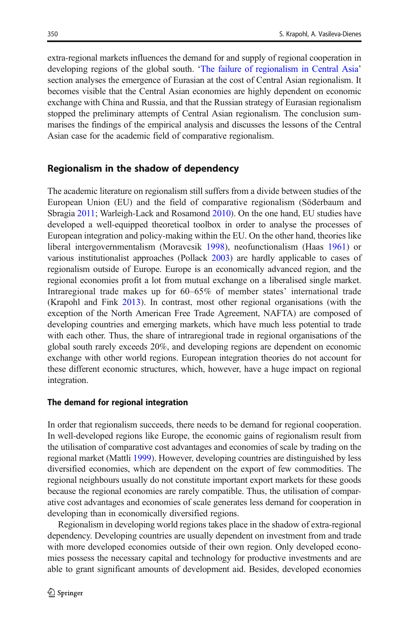<span id="page-3-0"></span>extra-regional markets influences the demand for and supply of regional cooperation in developing regions of the global south. '[The failure of regionalism in Central Asia](#page-6-0)' section analyses the emergence of Eurasian at the cost of Central Asian regionalism. It becomes visible that the Central Asian economies are highly dependent on economic exchange with China and Russia, and that the Russian strategy of Eurasian regionalism stopped the preliminary attempts of Central Asian regionalism. The conclusion summarises the findings of the empirical analysis and discusses the lessons of the Central Asian case for the academic field of comparative regionalism.

### Regionalism in the shadow of dependency

The academic literature on regionalism still suffers from a divide between studies of the European Union (EU) and the field of comparative regionalism (Söderbaum and Sbragia [2011](#page-18-0); Warleigh-Lack and Rosamond [2010\)](#page-19-0). On the one hand, EU studies have developed a well-equipped theoretical toolbox in order to analyse the processes of European integration and policy-making within the EU. On the other hand, theories like liberal intergovernmentalism (Moravcsik [1998\)](#page-18-0), neofunctionalism (Haas [1961](#page-17-0)) or various institutionalist approaches (Pollack [2003\)](#page-18-0) are hardly applicable to cases of regionalism outside of Europe. Europe is an economically advanced region, and the regional economies profit a lot from mutual exchange on a liberalised single market. Intraregional trade makes up for 60–65% of member states' international trade (Krapohl and Fink [2013](#page-17-0)). In contrast, most other regional organisations (with the exception of the North American Free Trade Agreement, NAFTA) are composed of developing countries and emerging markets, which have much less potential to trade with each other. Thus, the share of intraregional trade in regional organisations of the global south rarely exceeds 20%, and developing regions are dependent on economic exchange with other world regions. European integration theories do not account for these different economic structures, which, however, have a huge impact on regional integration.

#### The demand for regional integration

In order that regionalism succeeds, there needs to be demand for regional cooperation. In well-developed regions like Europe, the economic gains of regionalism result from the utilisation of comparative cost advantages and economies of scale by trading on the regional market (Mattli [1999\)](#page-18-0). However, developing countries are distinguished by less diversified economies, which are dependent on the export of few commodities. The regional neighbours usually do not constitute important export markets for these goods because the regional economies are rarely compatible. Thus, the utilisation of comparative cost advantages and economies of scale generates less demand for cooperation in developing than in economically diversified regions.

Regionalism in developing world regions takes place in the shadow of extra-regional dependency. Developing countries are usually dependent on investment from and trade with more developed economies outside of their own region. Only developed economies possess the necessary capital and technology for productive investments and are able to grant significant amounts of development aid. Besides, developed economies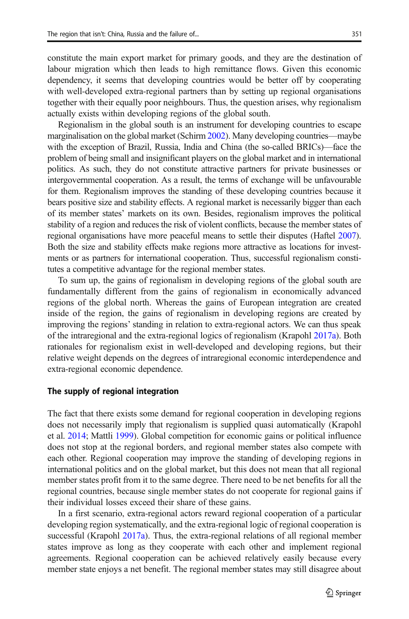constitute the main export market for primary goods, and they are the destination of labour migration which then leads to high remittance flows. Given this economic dependency, it seems that developing countries would be better off by cooperating with well-developed extra-regional partners than by setting up regional organisations together with their equally poor neighbours. Thus, the question arises, why regionalism actually exists within developing regions of the global south.

Regionalism in the global south is an instrument for developing countries to escape marginalisation on the global market (Schirm [2002](#page-18-0)). Many developing countries—maybe with the exception of Brazil, Russia, India and China (the so-called BRICs)—face the problem of being small and insignificant players on the global market and in international politics. As such, they do not constitute attractive partners for private businesses or intergovernmental cooperation. As a result, the terms of exchange will be unfavourable for them. Regionalism improves the standing of these developing countries because it bears positive size and stability effects. A regional market is necessarily bigger than each of its member states' markets on its own. Besides, regionalism improves the political stability of a region and reduces the risk of violent conflicts, because the member states of regional organisations have more peaceful means to settle their disputes (Haftel [2007\)](#page-17-0). Both the size and stability effects make regions more attractive as locations for investments or as partners for international cooperation. Thus, successful regionalism constitutes a competitive advantage for the regional member states.

To sum up, the gains of regionalism in developing regions of the global south are fundamentally different from the gains of regionalism in economically advanced regions of the global north. Whereas the gains of European integration are created inside of the region, the gains of regionalism in developing regions are created by improving the regions' standing in relation to extra-regional actors. We can thus speak of the intraregional and the extra-regional logics of regionalism (Krapohl [2017a](#page-17-0)). Both rationales for regionalism exist in well-developed and developing regions, but their relative weight depends on the degrees of intraregional economic interdependence and extra-regional economic dependence.

#### The supply of regional integration

The fact that there exists some demand for regional cooperation in developing regions does not necessarily imply that regionalism is supplied quasi automatically (Krapohl et al. [2014](#page-17-0); Mattli [1999](#page-18-0)). Global competition for economic gains or political influence does not stop at the regional borders, and regional member states also compete with each other. Regional cooperation may improve the standing of developing regions in international politics and on the global market, but this does not mean that all regional member states profit from it to the same degree. There need to be net benefits for all the regional countries, because single member states do not cooperate for regional gains if their individual losses exceed their share of these gains.

In a first scenario, extra-regional actors reward regional cooperation of a particular developing region systematically, and the extra-regional logic of regional cooperation is successful (Krapohl [2017a\)](#page-17-0). Thus, the extra-regional relations of all regional member states improve as long as they cooperate with each other and implement regional agreements. Regional cooperation can be achieved relatively easily because every member state enjoys a net benefit. The regional member states may still disagree about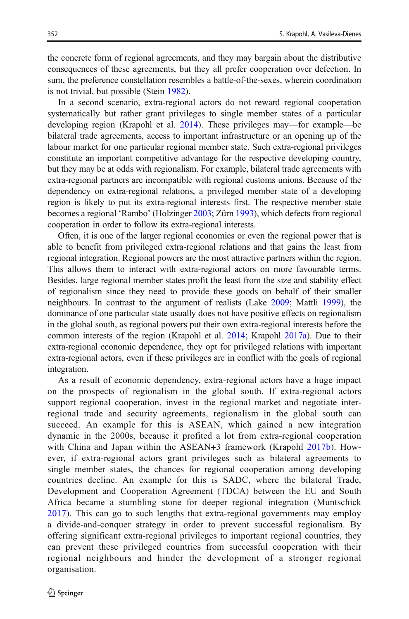the concrete form of regional agreements, and they may bargain about the distributive consequences of these agreements, but they all prefer cooperation over defection. In sum, the preference constellation resembles a battle-of-the-sexes, wherein coordination is not trivial, but possible (Stein [1982](#page-18-0)).

In a second scenario, extra-regional actors do not reward regional cooperation systematically but rather grant privileges to single member states of a particular developing region (Krapohl et al. [2014\)](#page-17-0). These privileges may—for example—be bilateral trade agreements, access to important infrastructure or an opening up of the labour market for one particular regional member state. Such extra-regional privileges constitute an important competitive advantage for the respective developing country, but they may be at odds with regionalism. For example, bilateral trade agreements with extra-regional partners are incompatible with regional customs unions. Because of the dependency on extra-regional relations, a privileged member state of a developing region is likely to put its extra-regional interests first. The respective member state becomes a regional 'Rambo' (Holzinger [2003](#page-17-0); Zürn [1993\)](#page-19-0), which defects from regional cooperation in order to follow its extra-regional interests.

Often, it is one of the larger regional economies or even the regional power that is able to benefit from privileged extra-regional relations and that gains the least from regional integration. Regional powers are the most attractive partners within the region. This allows them to interact with extra-regional actors on more favourable terms. Besides, large regional member states profit the least from the size and stability effect of regionalism since they need to provide these goods on behalf of their smaller neighbours. In contrast to the argument of realists (Lake [2009](#page-18-0); Mattli [1999](#page-18-0)), the dominance of one particular state usually does not have positive effects on regionalism in the global south, as regional powers put their own extra-regional interests before the common interests of the region (Krapohl et al. [2014;](#page-17-0) Krapohl [2017a\)](#page-17-0). Due to their extra-regional economic dependence, they opt for privileged relations with important extra-regional actors, even if these privileges are in conflict with the goals of regional integration.

As a result of economic dependency, extra-regional actors have a huge impact on the prospects of regionalism in the global south. If extra-regional actors support regional cooperation, invest in the regional market and negotiate interregional trade and security agreements, regionalism in the global south can succeed. An example for this is ASEAN, which gained a new integration dynamic in the 2000s, because it profited a lot from extra-regional cooperation with China and Japan within the ASEAN+3 framework (Krapohl [2017b\)](#page-17-0). However, if extra-regional actors grant privileges such as bilateral agreements to single member states, the chances for regional cooperation among developing countries decline. An example for this is SADC, where the bilateral Trade, Development and Cooperation Agreement (TDCA) between the EU and South Africa became a stumbling stone for deeper regional integration (Muntschick [2017](#page-18-0)). This can go to such lengths that extra-regional governments may employ a divide-and-conquer strategy in order to prevent successful regionalism. By offering significant extra-regional privileges to important regional countries, they can prevent these privileged countries from successful cooperation with their regional neighbours and hinder the development of a stronger regional organisation.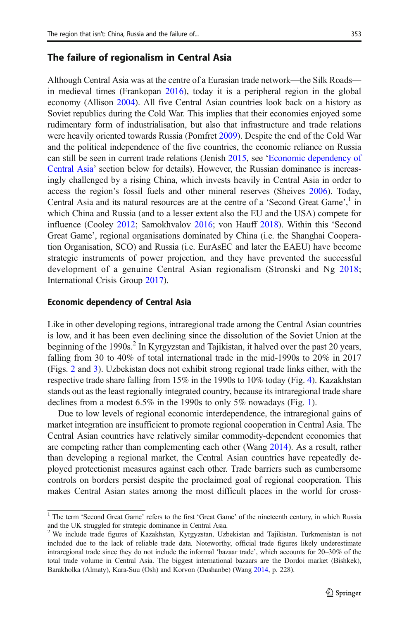## <span id="page-6-0"></span>The failure of regionalism in Central Asia

Although Central Asia was at the centre of a Eurasian trade network—the Silk Roads in medieval times (Frankopan [2016](#page-17-0)), today it is a peripheral region in the global economy (Allison [2004](#page-16-0)). All five Central Asian countries look back on a history as Soviet republics during the Cold War. This implies that their economies enjoyed some rudimentary form of industrialisation, but also that infrastructure and trade relations were heavily oriented towards Russia (Pomfret [2009](#page-18-0)). Despite the end of the Cold War and the political independence of the five countries, the economic reliance on Russia can still be seen in current trade relations (Jenish [2015,](#page-17-0) see 'Economic dependency of Central Asia' section below for details). However, the Russian dominance is increasingly challenged by a rising China, which invests heavily in Central Asia in order to access the region's fossil fuels and other mineral reserves (Sheives [2006](#page-18-0)). Today, Central Asia and its natural resources are at the centre of a 'Second Great Game', <sup>1</sup> in which China and Russia (and to a lesser extent also the EU and the USA) compete for influence (Cooley [2012](#page-16-0); Samokhvalov [2016;](#page-18-0) von Hauff [2018](#page-19-0)). Within this 'Second Great Game', regional organisations dominated by China (i.e. the Shanghai Cooperation Organisation, SCO) and Russia (i.e. EurAsEC and later the EAEU) have become strategic instruments of power projection, and they have prevented the successful development of a genuine Central Asian regionalism (Stronski and Ng [2018;](#page-18-0) International Crisis Group [2017\)](#page-17-0).

#### Economic dependency of Central Asia

Like in other developing regions, intraregional trade among the Central Asian countries is low, and it has been even declining since the dissolution of the Soviet Union at the beginning of the 1990s.<sup>2</sup> In Kyrgyzstan and Tajikistan, it halved over the past 20 years, falling from 30 to 40% of total international trade in the mid-1990s to 20% in 2017 (Figs. [2](#page-7-0) and [3](#page-8-0)). Uzbekistan does not exhibit strong regional trade links either, with the respective trade share falling from 15% in the 1990s to 10% today (Fig. [4](#page-8-0)). Kazakhstan stands out as the least regionally integrated country, because its intraregional trade share declines from a modest 6.5% in the 1990s to only 5% nowadays (Fig. [1](#page-7-0)).

Due to low levels of regional economic interdependence, the intraregional gains of market integration are insufficient to promote regional cooperation in Central Asia. The Central Asian countries have relatively similar commodity-dependent economies that are competing rather than complementing each other (Wang [2014\)](#page-19-0). As a result, rather than developing a regional market, the Central Asian countries have repeatedly deployed protectionist measures against each other. Trade barriers such as cumbersome controls on borders persist despite the proclaimed goal of regional cooperation. This makes Central Asian states among the most difficult places in the world for cross-

<sup>&</sup>lt;sup>1</sup> The term 'Second Great Game' refers to the first 'Great Game' of the nineteenth century, in which Russia and the UK struggled for strategic dominance in Central Asia.

<sup>2</sup> We include trade figures of Kazakhstan, Kyrgyzstan, Uzbekistan and Tajikistan. Turkmenistan is not included due to the lack of reliable trade data. Noteworthy, official trade figures likely underestimate intraregional trade since they do not include the informal 'bazaar trade', which accounts for 20–30% of the total trade volume in Central Asia. The biggest international bazaars are the Dordoi market (Bishkek), Barakholka (Almaty), Kara-Suu (Osh) and Korvon (Dushanbe) (Wang [2014](#page-19-0), p. 228).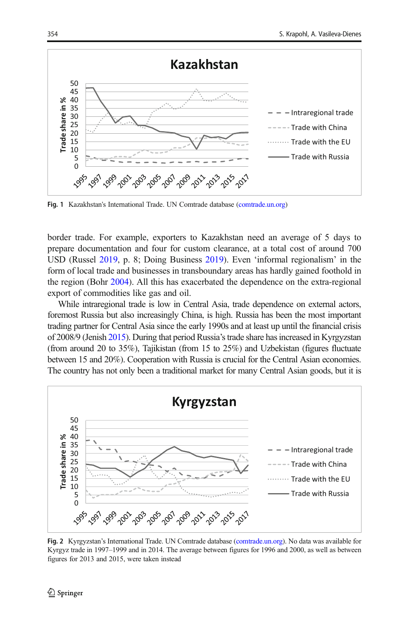<span id="page-7-0"></span>

Fig. 1 Kazakhstan's International Trade. UN Comtrade database [\(comtrade.un.org\)](https://doi.org/http://www.bp.com/content/dam/bp/en/corporate/pdf/energy-economics/statistical-review/bp-stats-review-2018-full-report.pdf)

border trade. For example, exporters to Kazakhstan need an average of 5 days to prepare documentation and four for custom clearance, at a total cost of around 700 USD (Russel [2019](#page-18-0), p. 8; Doing Business [2019](#page-17-0)). Even 'informal regionalism' in the form of local trade and businesses in transboundary areas has hardly gained foothold in the region (Bohr [2004](#page-16-0)). All this has exacerbated the dependence on the extra-regional export of commodities like gas and oil.

While intraregional trade is low in Central Asia, trade dependence on external actors, foremost Russia but also increasingly China, is high. Russia has been the most important trading partner for Central Asia since the early 1990s and at least up until the financial crisis of 2008/9 (Jenish [2015](#page-17-0)). During that period Russia's trade share has increased in Kyrgyzstan (from around 20 to 35%), Tajikistan (from 15 to 25%) and Uzbekistan (figures fluctuate between 15 and 20%). Cooperation with Russia is crucial for the Central Asian economies. The country has not only been a traditional market for many Central Asian goods, but it is



Fig. 2 Kyrgyzstan's International Trade. UN Comtrade database ([comtrade.un.org\)](https://doi.org/http://www.bp.com/content/dam/bp/en/corporate/pdf/energy-economics/statistical-review/bp-stats-review-2018-full-report.pdf). No data was available for Kyrgyz trade in 1997–1999 and in 2014. The average between figures for 1996 and 2000, as well as between figures for 2013 and 2015, were taken instead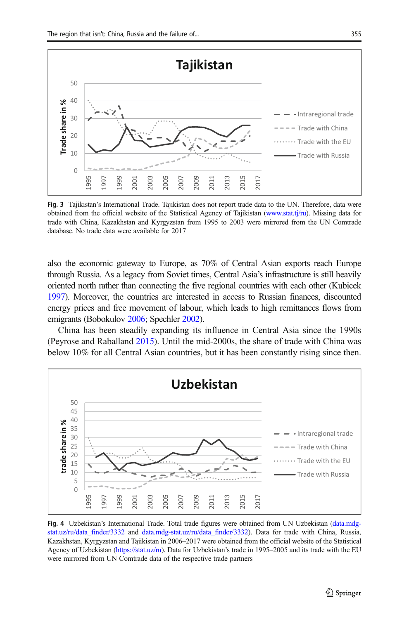<span id="page-8-0"></span>

Fig. 3 Tajikistan's International Trade. Tajikistan does not report trade data to the UN. Therefore, data were obtained from the official website of the Statistical Agency of Tajikistan [\(www.stat.tj/ru](https://doi.org/http://www.bp.com/content/dam/bp/en/corporate/pdf/energy-economics/statistical-review/bp-stats-review-2018-full-report.pdf)). Missing data for trade with China, Kazakhstan and Kyrgyzstan from 1995 to 2003 were mirrored from the UN Comtrade database. No trade data were available for 2017

also the economic gateway to Europe, as 70% of Central Asian exports reach Europe through Russia. As a legacy from Soviet times, Central Asia's infrastructure is still heavily oriented north rather than connecting the five regional countries with each other (Kubicek [1997\)](#page-18-0). Moreover, the countries are interested in access to Russian finances, discounted energy prices and free movement of labour, which leads to high remittances flows from emigrants (Bobokulov [2006;](#page-16-0) Spechler [2002\)](#page-18-0).

China has been steadily expanding its influence in Central Asia since the 1990s (Peyrose and Raballand [2015\)](#page-18-0). Until the mid-2000s, the share of trade with China was below 10% for all Central Asian countries, but it has been constantly rising since then.



Fig. 4 Uzbekistan's International Trade. Total trade figures were obtained from UN Uzbekistan [\(data.mdg](https://doi.org/http://www.bp.com/content/dam/bp/en/corporate/pdf/energy-economics/statistical-review/bp-stats-review-2018-full-report.pdf)stat.uz/ru/data finder/3332 and data.mdg-stat.uz/ru/data finder/3332). Data for trade with China, Russia, Kazakhstan, Kyrgyzstan and Tajikistan in 2006–2017 were obtained from the official website of the Statistical Agency of Uzbekistan ([https://stat.uz/ru\)](https://doi.org/http://www.bp.com/content/dam/bp/en/corporate/pdf/energy-economics/statistical-review/bp-stats-review-2018-full-report.pdf). Data for Uzbekistan's trade in 1995–2005 and its trade with the EU were mirrored from UN Comtrade data of the respective trade partners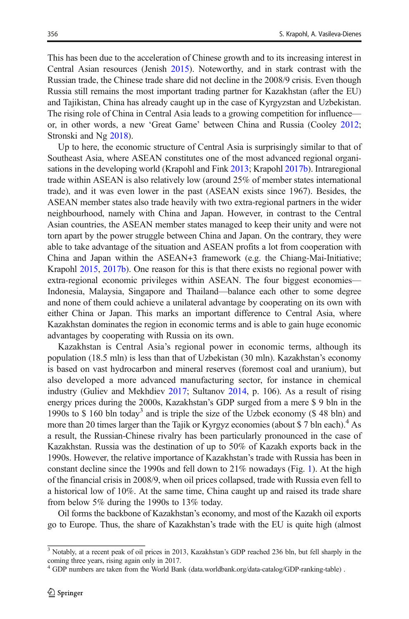This has been due to the acceleration of Chinese growth and to its increasing interest in Central Asian resources (Jenish [2015](#page-17-0)). Noteworthy, and in stark contrast with the Russian trade, the Chinese trade share did not decline in the 2008/9 crisis. Even though Russia still remains the most important trading partner for Kazakhstan (after the EU) and Tajikistan, China has already caught up in the case of Kyrgyzstan and Uzbekistan. The rising role of China in Central Asia leads to a growing competition for influence or, in other words, a new 'Great Game' between China and Russia (Cooley [2012;](#page-16-0) Stronski and Ng [2018\)](#page-18-0).

Up to here, the economic structure of Central Asia is surprisingly similar to that of Southeast Asia, where ASEAN constitutes one of the most advanced regional organisations in the developing world (Krapohl and Fink [2013](#page-17-0); Krapohl [2017b\)](#page-17-0). Intraregional trade within ASEAN is also relatively low (around 25% of member states international trade), and it was even lower in the past (ASEAN exists since 1967). Besides, the ASEAN member states also trade heavily with two extra-regional partners in the wider neighbourhood, namely with China and Japan. However, in contrast to the Central Asian countries, the ASEAN member states managed to keep their unity and were not torn apart by the power struggle between China and Japan. On the contrary, they were able to take advantage of the situation and ASEAN profits a lot from cooperation with China and Japan within the ASEAN+3 framework (e.g. the Chiang-Mai-Initiative; Krapohl [2015](#page-17-0), [2017b](#page-17-0)). One reason for this is that there exists no regional power with extra-regional economic privileges within ASEAN. The four biggest economies— Indonesia, Malaysia, Singapore and Thailand—balance each other to some degree and none of them could achieve a unilateral advantage by cooperating on its own with either China or Japan. This marks an important difference to Central Asia, where Kazakhstan dominates the region in economic terms and is able to gain huge economic advantages by cooperating with Russia on its own.

Kazakhstan is Central Asia's regional power in economic terms, although its population (18.5 mln) is less than that of Uzbekistan (30 mln). Kazakhstan's economy is based on vast hydrocarbon and mineral reserves (foremost coal and uranium), but also developed a more advanced manufacturing sector, for instance in chemical industry (Guliev and Mekhdiev [2017;](#page-17-0) Sultanov [2014](#page-19-0), p. 106). As a result of rising energy prices during the 2000s, Kazakhstan's GDP surged from a mere \$ 9 bln in the 1990s to  $$ 160$  bln today<sup>3</sup> and is triple the size of the Uzbek economy ( $$ 48$  bln) and more than 20 times larger than the Tajik or Kyrgyz economies (about \$7 bln each).<sup>4</sup> As a result, the Russian-Chinese rivalry has been particularly pronounced in the case of Kazakhstan. Russia was the destination of up to 50% of Kazakh exports back in the 1990s. However, the relative importance of Kazakhstan's trade with Russia has been in constant decline since the 1990s and fell down to 21% nowadays (Fig. [1\)](#page-7-0). At the high of the financial crisis in 2008/9, when oil prices collapsed, trade with Russia even fell to a historical low of 10%. At the same time, China caught up and raised its trade share from below 5% during the 1990s to 13% today.

Oil forms the backbone of Kazakhstan's economy, and most of the Kazakh oil exports go to Europe. Thus, the share of Kazakhstan's trade with the EU is quite high (almost

 $\frac{3}{3}$  Notably, at a recent peak of oil prices in 2013, Kazakhstan's GDP reached 236 bln, but fell sharply in the coming three years, rising again only in 2017.

<sup>4</sup> GDP numbers are taken from the World Bank (data.worldbank.org/data-catalog/GDP-ranking-table) .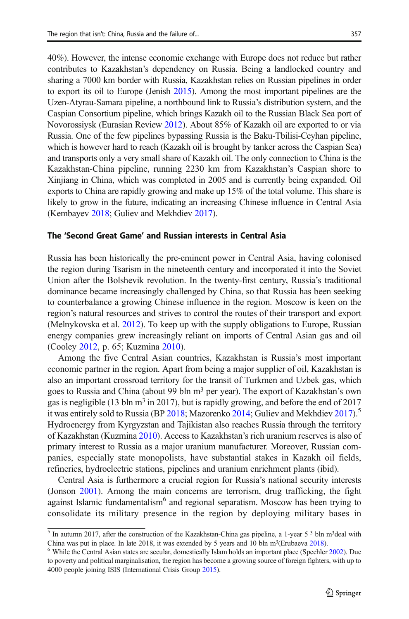40%). However, the intense economic exchange with Europe does not reduce but rather contributes to Kazakhstan's dependency on Russia. Being a landlocked country and sharing a 7000 km border with Russia, Kazakhstan relies on Russian pipelines in order to export its oil to Europe (Jenish [2015](#page-17-0)). Among the most important pipelines are the Uzen-Atyrau-Samara pipeline, a northbound link to Russia's distribution system, and the Caspian Consortium pipeline, which brings Kazakh oil to the Russian Black Sea port of Novorossiysk (Eurasian Review [2012](#page-17-0)). About 85% of Kazakh oil are exported to or via Russia. One of the few pipelines bypassing Russia is the Baku-Tbilisi-Ceyhan pipeline, which is however hard to reach (Kazakh oil is brought by tanker across the Caspian Sea) and transports only a very small share of Kazakh oil. The only connection to China is the Kazakhstan-China pipeline, running 2230 km from Kazakhstan's Caspian shore to Xinjiang in China, which was completed in 2005 and is currently being expanded. Oil exports to China are rapidly growing and make up 15% of the total volume. This share is likely to grow in the future, indicating an increasing Chinese influence in Central Asia (Kembayev [2018;](#page-17-0) Guliev and Mekhdiev [2017\)](#page-17-0).

#### The 'Second Great Game' and Russian interests in Central Asia

Russia has been historically the pre-eminent power in Central Asia, having colonised the region during Tsarism in the nineteenth century and incorporated it into the Soviet Union after the Bolshevik revolution. In the twenty-first century, Russia's traditional dominance became increasingly challenged by China, so that Russia has been seeking to counterbalance a growing Chinese influence in the region. Moscow is keen on the region's natural resources and strives to control the routes of their transport and export (Melnykovska et al. [2012\)](#page-18-0). To keep up with the supply obligations to Europe, Russian energy companies grew increasingly reliant on imports of Central Asian gas and oil (Cooley [2012,](#page-16-0) p. 65; Kuzmina [2010\)](#page-18-0).

Among the five Central Asian countries, Kazakhstan is Russia's most important economic partner in the region. Apart from being a major supplier of oil, Kazakhstan is also an important crossroad territory for the transit of Turkmen and Uzbek gas, which goes to Russia and China (about 99 bln m<sup>3</sup> per year). The export of Kazakhstan's own gas is negligible (13 bln  $m<sup>3</sup>$  in 2017), but is rapidly growing, and before the end of 2017 it was entirely sold to Russia (BP [2018;](#page-16-0) Mazorenko [2014](#page-18-0); Guliev and Mekhdiev [2017](#page-17-0)).<sup>5</sup> Hydroenergy from Kyrgyzstan and Tajikistan also reaches Russia through the territory of Kazakhstan (Kuzmina [2010\)](#page-18-0). Access to Kazakhstan's rich uranium reserves is also of primary interest to Russia as a major uranium manufacturer. Moreover, Russian companies, especially state monopolists, have substantial stakes in Kazakh oil fields, refineries, hydroelectric stations, pipelines and uranium enrichment plants (ibid).

Central Asia is furthermore a crucial region for Russia's national security interests (Jonson [2001](#page-17-0)). Among the main concerns are terrorism, drug trafficking, the fight against Islamic fundamentalism<sup>6</sup> and regional separatism. Moscow has been trying to consolidate its military presence in the region by deploying military bases in

 $\frac{5}{10}$  In autumn 2017, after the construction of the Kazakhstan-China gas pipeline, a 1-year 5<sup>3</sup> bln m<sup>3</sup>deal with China was put in place. In late 2018, it was extended by 5 years and 10 bln m3(Erubaeva [2018](#page-17-0)). <sup>6</sup> While the Central Asian states are secular, domestically Islam holds an important place (Spechler [2002](#page-18-0)). Due

to poverty and political marginalisation, the region has become a growing source of foreign fighters, with up to 4000 people joining ISIS (International Crisis Group [2015](#page-17-0)).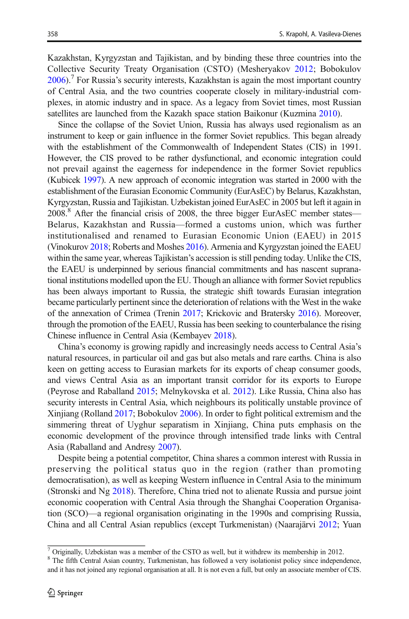Kazakhstan, Kyrgyzstan and Tajikistan, and by binding these three countries into the Collective Security Treaty Organisation (CSTO) (Mesheryakov [2012;](#page-18-0) Bobokulov  $2006$ . For Russia's security interests, Kazakhstan is again the most important country of Central Asia, and the two countries cooperate closely in military-industrial complexes, in atomic industry and in space. As a legacy from Soviet times, most Russian satellites are launched from the Kazakh space station Baikonur (Kuzmina [2010](#page-18-0)).

Since the collapse of the Soviet Union, Russia has always used regionalism as an instrument to keep or gain influence in the former Soviet republics. This began already with the establishment of the Commonwealth of Independent States (CIS) in 1991. However, the CIS proved to be rather dysfunctional, and economic integration could not prevail against the eagerness for independence in the former Soviet republics (Kubicek [1997\)](#page-18-0). A new approach of economic integration was started in 2000 with the establishment of the Eurasian Economic Community (EurAsEC) by Belarus, Kazakhstan, Kyrgyzstan, Russia and Tajikistan. Uzbekistan joined EurAsEC in 2005 but left it again in 2008.<sup>8</sup> After the financial crisis of 2008, the three bigger EurAsEC member states— Belarus, Kazakhstan and Russia—formed a customs union, which was further institutionalised and renamed to Eurasian Economic Union (EAEU) in 2015 (Vinokurov [2018](#page-19-0); Roberts and Moshes [2016](#page-18-0)). Armenia and Kyrgyzstan joined the EAEU within the same year, whereas Tajikistan's accession is still pending today. Unlike the CIS, the EAEU is underpinned by serious financial commitments and has nascent supranational institutions modelled upon the EU. Though an alliance with former Soviet republics has been always important to Russia, the strategic shift towards Eurasian integration became particularly pertinent since the deterioration of relations with the West in the wake of the annexation of Crimea (Trenin [2017;](#page-19-0) Krickovic and Bratersky [2016\)](#page-18-0). Moreover, through the promotion of the EAEU, Russia has been seeking to counterbalance the rising Chinese influence in Central Asia (Kembayev [2018](#page-17-0)).

China's economy is growing rapidly and increasingly needs access to Central Asia's natural resources, in particular oil and gas but also metals and rare earths. China is also keen on getting access to Eurasian markets for its exports of cheap consumer goods, and views Central Asia as an important transit corridor for its exports to Europe (Peyrose and Raballand [2015;](#page-18-0) Melnykovska et al. [2012](#page-18-0)). Like Russia, China also has security interests in Central Asia, which neighbours its politically unstable province of Xinjiang (Rolland [2017;](#page-18-0) Bobokulov [2006\)](#page-16-0). In order to fight political extremism and the simmering threat of Uyghur separatism in Xinjiang, China puts emphasis on the economic development of the province through intensified trade links with Central Asia (Raballand and Andresy [2007\)](#page-18-0).

Despite being a potential competitor, China shares a common interest with Russia in preserving the political status quo in the region (rather than promoting democratisation), as well as keeping Western influence in Central Asia to the minimum (Stronski and Ng [2018](#page-18-0)). Therefore, China tried not to alienate Russia and pursue joint economic cooperation with Central Asia through the Shanghai Cooperation Organisation (SCO)—a regional organisation originating in the 1990s and comprising Russia, China and all Central Asian republics (except Turkmenistan) (Naarajärvi [2012](#page-18-0); Yuan

 $\sqrt{7}$  Originally, Uzbekistan was a member of the CSTO as well, but it withdrew its membership in 2012.

<sup>&</sup>lt;sup>8</sup> The fifth Central Asian country, Turkmenistan, has followed a very isolationist policy since independence, and it has not joined any regional organisation at all. It is not even a full, but only an associate member of CIS.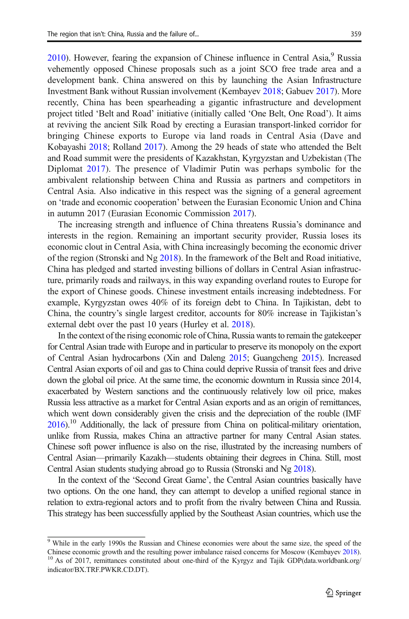$2010$ ). However, fearing the expansion of Chinese influence in Central Asia, Russia vehemently opposed Chinese proposals such as a joint SCO free trade area and a development bank. China answered on this by launching the Asian Infrastructure Investment Bank without Russian involvement (Kembayev [2018](#page-17-0); Gabuev [2017](#page-17-0)). More recently, China has been spearheading a gigantic infrastructure and development project titled 'Belt and Road' initiative (initially called 'One Belt, One Road'). It aims at reviving the ancient Silk Road by erecting a Eurasian transport-linked corridor for bringing Chinese exports to Europe via land roads in Central Asia (Dave and Kobayashi [2018](#page-17-0); Rolland [2017\)](#page-18-0). Among the 29 heads of state who attended the Belt and Road summit were the presidents of Kazakhstan, Kyrgyzstan and Uzbekistan (The Diplomat [2017](#page-19-0)). The presence of Vladimir Putin was perhaps symbolic for the ambivalent relationship between China and Russia as partners and competitors in Central Asia. Also indicative in this respect was the signing of a general agreement on 'trade and economic cooperation' between the Eurasian Economic Union and China in autumn 2017 (Eurasian Economic Commission [2017](#page-17-0)).

The increasing strength and influence of China threatens Russia's dominance and interests in the region. Remaining an important security provider, Russia loses its economic clout in Central Asia, with China increasingly becoming the economic driver of the region (Stronski and Ng [2018](#page-18-0)). In the framework of the Belt and Road initiative, China has pledged and started investing billions of dollars in Central Asian infrastructure, primarily roads and railways, in this way expanding overland routes to Europe for the export of Chinese goods. Chinese investment entails increasing indebtedness. For example, Kyrgyzstan owes 40% of its foreign debt to China. In Tajikistan, debt to China, the country's single largest creditor, accounts for 80% increase in Tajikistan's external debt over the past 10 years (Hurley et al. [2018\)](#page-17-0).

In the context of the rising economic role of China, Russia wants to remain the gatekeeper for Central Asian trade with Europe and in particular to preserve its monopoly on the export of Central Asian hydrocarbons (Xin and Daleng [2015](#page-19-0); Guangcheng [2015](#page-17-0)). Increased Central Asian exports of oil and gas to China could deprive Russia of transit fees and drive down the global oil price. At the same time, the economic downturn in Russia since 2014, exacerbated by Western sanctions and the continuously relatively low oil price, makes Russia less attractive as a market for Central Asian exports and as an origin of remittances, which went down considerably given the crisis and the depreciation of the rouble (IMF  $2016$ .<sup>10</sup> Additionally, the lack of pressure from China on political-military orientation, unlike from Russia, makes China an attractive partner for many Central Asian states. Chinese soft power influence is also on the rise, illustrated by the increasing numbers of Central Asian—primarily Kazakh—students obtaining their degrees in China. Still, most Central Asian students studying abroad go to Russia (Stronski and Ng [2018](#page-18-0)).

In the context of the 'Second Great Game', the Central Asian countries basically have two options. On the one hand, they can attempt to develop a unified regional stance in relation to extra-regional actors and to profit from the rivalry between China and Russia. This strategy has been successfully applied by the Southeast Asian countries, which use the

<sup>&</sup>lt;sup>9</sup> While in the early 1990s the Russian and Chinese economies were about the same size, the speed of the Chinese economic growth and the resulting power imbalance raised concerns for Moscow (Kembayev  $2018$ ).  $^{10}$  As of 2017, remittances constituted about one-third of the Kyrgyz and Tajik GDP(data.worldbank.org/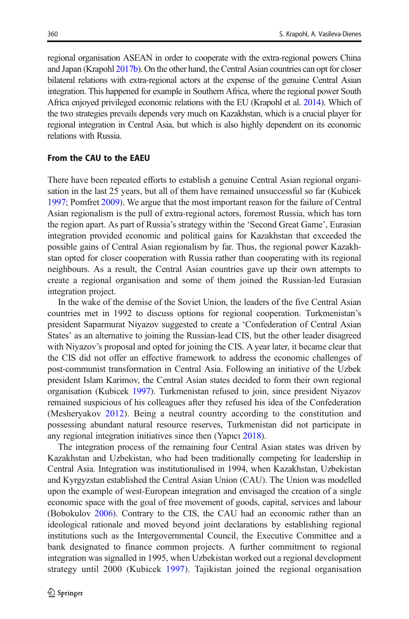regional organisation ASEAN in order to cooperate with the extra-regional powers China and Japan (Krapohl [2017b](#page-17-0)). On the other hand, the Central Asian countries can opt for closer bilateral relations with extra-regional actors at the expense of the genuine Central Asian integration. This happened for example in Southern Africa, where the regional power South Africa enjoyed privileged economic relations with the EU (Krapohl et al. [2014\)](#page-17-0). Which of the two strategies prevails depends very much on Kazakhstan, which is a crucial player for regional integration in Central Asia, but which is also highly dependent on its economic relations with Russia.

### From the CAU to the EAEU

There have been repeated efforts to establish a genuine Central Asian regional organisation in the last 25 years, but all of them have remained unsuccessful so far (Kubicek [1997;](#page-18-0) Pomfret [2009\)](#page-18-0). We argue that the most important reason for the failure of Central Asian regionalism is the pull of extra-regional actors, foremost Russia, which has torn the region apart. As part of Russia's strategy within the 'Second Great Game', Eurasian integration provided economic and political gains for Kazakhstan that exceeded the possible gains of Central Asian regionalism by far. Thus, the regional power Kazakhstan opted for closer cooperation with Russia rather than cooperating with its regional neighbours. As a result, the Central Asian countries gave up their own attempts to create a regional organisation and some of them joined the Russian-led Eurasian integration project.

In the wake of the demise of the Soviet Union, the leaders of the five Central Asian countries met in 1992 to discuss options for regional cooperation. Turkmenistan's president Saparmurat Niyazov suggested to create a 'Confederation of Central Asian States' as an alternative to joining the Russian-lead CIS, but the other leader disagreed with Niyazov's proposal and opted for joining the CIS. A year later, it became clear that the CIS did not offer an effective framework to address the economic challenges of post-communist transformation in Central Asia. Following an initiative of the Uzbek president Islam Karimov, the Central Asian states decided to form their own regional organisation (Kubicek [1997\)](#page-18-0). Turkmenistan refused to join, since president Niyazov remained suspicious of his colleagues after they refused his idea of the Confederation (Mesheryakov [2012](#page-18-0)). Being a neutral country according to the constitution and possessing abundant natural resource reserves, Turkmenistan did not participate in any regional integration initiatives since then (Yapıcı [2018\)](#page-19-0).

The integration process of the remaining four Central Asian states was driven by Kazakhstan and Uzbekistan, who had been traditionally competing for leadership in Central Asia. Integration was institutionalised in 1994, when Kazakhstan, Uzbekistan and Kyrgyzstan established the Central Asian Union (CAU). The Union was modelled upon the example of west-European integration and envisaged the creation of a single economic space with the goal of free movement of goods, capital, services and labour (Bobokulov [2006](#page-16-0)). Contrary to the CIS, the CAU had an economic rather than an ideological rationale and moved beyond joint declarations by establishing regional institutions such as the Intergovernmental Council, the Executive Committee and a bank designated to finance common projects. A further commitment to regional integration was signalled in 1995, when Uzbekistan worked out a regional development strategy until 2000 (Kubicek [1997\)](#page-18-0). Tajikistan joined the regional organisation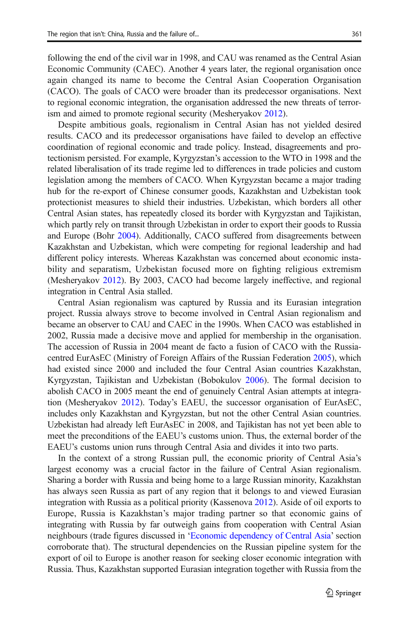following the end of the civil war in 1998, and CAU was renamed as the Central Asian Economic Community (CAEC). Another 4 years later, the regional organisation once again changed its name to become the Central Asian Cooperation Organisation (CACO). The goals of CACO were broader than its predecessor organisations. Next to regional economic integration, the organisation addressed the new threats of terrorism and aimed to promote regional security (Mesheryakov [2012\)](#page-18-0).

Despite ambitious goals, regionalism in Central Asian has not yielded desired results. CACO and its predecessor organisations have failed to develop an effective coordination of regional economic and trade policy. Instead, disagreements and protectionism persisted. For example, Kyrgyzstan's accession to the WTO in 1998 and the related liberalisation of its trade regime led to differences in trade policies and custom legislation among the members of CACO. When Kyrgyzstan became a major trading hub for the re-export of Chinese consumer goods, Kazakhstan and Uzbekistan took protectionist measures to shield their industries. Uzbekistan, which borders all other Central Asian states, has repeatedly closed its border with Kyrgyzstan and Tajikistan, which partly rely on transit through Uzbekistan in order to export their goods to Russia and Europe (Bohr [2004\)](#page-16-0). Additionally, CACO suffered from disagreements between Kazakhstan and Uzbekistan, which were competing for regional leadership and had different policy interests. Whereas Kazakhstan was concerned about economic instability and separatism, Uzbekistan focused more on fighting religious extremism (Mesheryakov [2012](#page-18-0)). By 2003, CACO had become largely ineffective, and regional integration in Central Asia stalled.

Central Asian regionalism was captured by Russia and its Eurasian integration project. Russia always strove to become involved in Central Asian regionalism and became an observer to CAU and CAEC in the 1990s. When CACO was established in 2002, Russia made a decisive move and applied for membership in the organisation. The accession of Russia in 2004 meant de facto a fusion of CACO with the Russiacentred EurAsEC (Ministry of Foreign Affairs of the Russian Federation [2005](#page-18-0)), which had existed since 2000 and included the four Central Asian countries Kazakhstan, Kyrgyzstan, Tajikistan and Uzbekistan (Bobokulov [2006\)](#page-16-0). The formal decision to abolish CACO in 2005 meant the end of genuinely Central Asian attempts at integration (Mesheryakov [2012](#page-18-0)). Today's EAEU, the successor organisation of EurAsEC, includes only Kazakhstan and Kyrgyzstan, but not the other Central Asian countries. Uzbekistan had already left EurAsEC in 2008, and Tajikistan has not yet been able to meet the preconditions of the EAEU's customs union. Thus, the external border of the EAEU's customs union runs through Central Asia and divides it into two parts.

In the context of a strong Russian pull, the economic priority of Central Asia's largest economy was a crucial factor in the failure of Central Asian regionalism. Sharing a border with Russia and being home to a large Russian minority, Kazakhstan has always seen Russia as part of any region that it belongs to and viewed Eurasian integration with Russia as a political priority (Kassenova [2012](#page-17-0)). Aside of oil exports to Europe, Russia is Kazakhstan's major trading partner so that economic gains of integrating with Russia by far outweigh gains from cooperation with Central Asian neighbours (trade figures discussed in '[Economic dependency of Central Asia](#page-6-0)' section corroborate that). The structural dependencies on the Russian pipeline system for the export of oil to Europe is another reason for seeking closer economic integration with Russia. Thus, Kazakhstan supported Eurasian integration together with Russia from the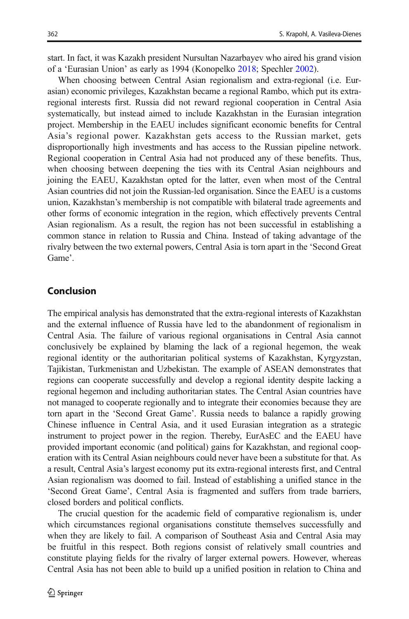start. In fact, it was Kazakh president Nursultan Nazarbayev who aired his grand vision of a 'Eurasian Union' as early as 1994 (Konopelko [2018](#page-17-0); Spechler [2002](#page-18-0)).

When choosing between Central Asian regionalism and extra-regional (i.e. Eurasian) economic privileges, Kazakhstan became a regional Rambo, which put its extraregional interests first. Russia did not reward regional cooperation in Central Asia systematically, but instead aimed to include Kazakhstan in the Eurasian integration project. Membership in the EAEU includes significant economic benefits for Central Asia's regional power. Kazakhstan gets access to the Russian market, gets disproportionally high investments and has access to the Russian pipeline network. Regional cooperation in Central Asia had not produced any of these benefits. Thus, when choosing between deepening the ties with its Central Asian neighbours and joining the EAEU, Kazakhstan opted for the latter, even when most of the Central Asian countries did not join the Russian-led organisation. Since the EAEU is a customs union, Kazakhstan's membership is not compatible with bilateral trade agreements and other forms of economic integration in the region, which effectively prevents Central Asian regionalism. As a result, the region has not been successful in establishing a common stance in relation to Russia and China. Instead of taking advantage of the rivalry between the two external powers, Central Asia is torn apart in the 'Second Great Game'.

## Conclusion

The empirical analysis has demonstrated that the extra-regional interests of Kazakhstan and the external influence of Russia have led to the abandonment of regionalism in Central Asia. The failure of various regional organisations in Central Asia cannot conclusively be explained by blaming the lack of a regional hegemon, the weak regional identity or the authoritarian political systems of Kazakhstan, Kyrgyzstan, Tajikistan, Turkmenistan and Uzbekistan. The example of ASEAN demonstrates that regions can cooperate successfully and develop a regional identity despite lacking a regional hegemon and including authoritarian states. The Central Asian countries have not managed to cooperate regionally and to integrate their economies because they are torn apart in the 'Second Great Game'. Russia needs to balance a rapidly growing Chinese influence in Central Asia, and it used Eurasian integration as a strategic instrument to project power in the region. Thereby, EurAsEC and the EAEU have provided important economic (and political) gains for Kazakhstan, and regional cooperation with its Central Asian neighbours could never have been a substitute for that. As a result, Central Asia's largest economy put its extra-regional interests first, and Central Asian regionalism was doomed to fail. Instead of establishing a unified stance in the 'Second Great Game', Central Asia is fragmented and suffers from trade barriers, closed borders and political conflicts.

The crucial question for the academic field of comparative regionalism is, under which circumstances regional organisations constitute themselves successfully and when they are likely to fail. A comparison of Southeast Asia and Central Asia may be fruitful in this respect. Both regions consist of relatively small countries and constitute playing fields for the rivalry of larger external powers. However, whereas Central Asia has not been able to build up a unified position in relation to China and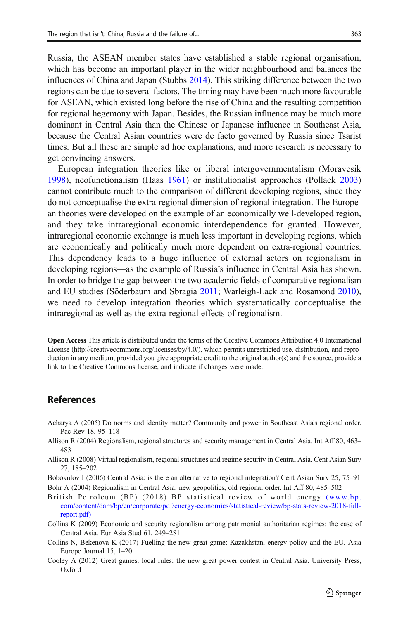<span id="page-16-0"></span>Russia, the ASEAN member states have established a stable regional organisation, which has become an important player in the wider neighbourhood and balances the influences of China and Japan (Stubbs [2014\)](#page-18-0). This striking difference between the two regions can be due to several factors. The timing may have been much more favourable for ASEAN, which existed long before the rise of China and the resulting competition for regional hegemony with Japan. Besides, the Russian influence may be much more dominant in Central Asia than the Chinese or Japanese influence in Southeast Asia, because the Central Asian countries were de facto governed by Russia since Tsarist times. But all these are simple ad hoc explanations, and more research is necessary to get convincing answers.

European integration theories like or liberal intergovernmentalism (Moravcsik [1998\)](#page-18-0), neofunctionalism (Haas [1961\)](#page-17-0) or institutionalist approaches (Pollack [2003](#page-18-0)) cannot contribute much to the comparison of different developing regions, since they do not conceptualise the extra-regional dimension of regional integration. The European theories were developed on the example of an economically well-developed region, and they take intraregional economic interdependence for granted. However, intraregional economic exchange is much less important in developing regions, which are economically and politically much more dependent on extra-regional countries. This dependency leads to a huge influence of external actors on regionalism in developing regions—as the example of Russia's influence in Central Asia has shown. In order to bridge the gap between the two academic fields of comparative regionalism and EU studies (Söderbaum and Sbragia [2011](#page-18-0); Warleigh-Lack and Rosamond [2010\)](#page-19-0), we need to develop integration theories which systematically conceptualise the intraregional as well as the extra-regional effects of regionalism.

Open Access This article is distributed under the terms of the Creative Commons Attribution 4.0 International License (http://creativecommons.org/licenses/by/4.0/), which permits unrestricted use, distribution, and reproduction in any medium, provided you give appropriate credit to the original author(s) and the source, provide a link to the Creative Commons license, and indicate if changes were made.

## References

- Acharya A (2005) Do norms and identity matter? Community and power in Southeast Asia's regional order. Pac Rev 18, 95–118
- Allison R (2004) Regionalism, regional structures and security management in Central Asia. Int Aff 80, 463– 483
- Allison R (2008) Virtual regionalism, regional structures and regime security in Central Asia. Cent Asian Surv 27, 185–202
- Bobokulov I (2006) Central Asia: is there an alternative to regional integration? Cent Asian Surv 25, 75–91 Bohr A (2004) Regionalism in Central Asia: new geopolitics, old regional order. Int Aff 80, 485–502
- British Petroleum (BP) (2018) BP statistical review of world energy [\(www.bp.](http://www.bp.com/content/dam/bp/en/corporate/pdf/energy-economics/statistical-review/bp-stats-review-2018-full-report.pdf) [com/content/dam/bp/en/corporate/pdf/energy-economics/statistical-review/bp-stats-review-2018-full](http://www.bp.com/content/dam/bp/en/corporate/pdf/energy-economics/statistical-review/bp-stats-review-2018-full-report.pdf)[report.pdf\)](http://www.bp.com/content/dam/bp/en/corporate/pdf/energy-economics/statistical-review/bp-stats-review-2018-full-report.pdf)
- Collins K (2009) Economic and security regionalism among patrimonial authoritarian regimes: the case of Central Asia. Eur Asia Stud 61, 249–281
- Collins N, Bekenova K (2017) Fuelling the new great game: Kazakhstan, energy policy and the EU. Asia Europe Journal 15, 1–20
- Cooley A (2012) Great games, local rules: the new great power contest in Central Asia. University Press, Oxford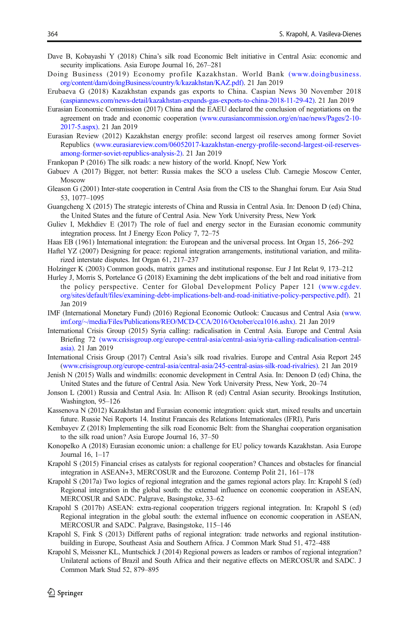- <span id="page-17-0"></span>Dave B, Kobayashi Y (2018) China's silk road Economic Belt initiative in Central Asia: economic and security implications. Asia Europe Journal 16, 267–281
- Doing Business (2019) Economy profile Kazakhstan. World Bank [\(www.doingbusiness.](http://www.doingbusiness.org/content/dam/doingBusiness/country/k/kazakhstan/KAZ.pdf) [org/content/dam/doingBusiness/country/k/kazakhstan/KAZ.pdf\).](http://www.doingbusiness.org/content/dam/doingBusiness/country/k/kazakhstan/KAZ.pdf) 21 Jan 2019
- Erubaeva G (2018) Kazakhstan expands gas exports to China. Caspian News 30 November 2018 [\(caspiannews.com/news-detail/kazakhstan-expands-gas-exports-to-china-2018-11-29-42\)](http://caspiannews.com/news-detail/kazakhstan-expands-gas-exports-to-china-2018-11-29-42)). 21 Jan 2019
- Eurasian Economic Commission (2017) China and the EAEU declared the conclusion of negotiations on the agreement on trade and economic cooperation [\(www.eurasiancommission.org/en/nae/news/Pages/2-10-](http://www.eurasiancommission.org/en/nae/news/Pages/2-10-2017-5.aspx) [2017-5.aspx\)](http://www.eurasiancommission.org/en/nae/news/Pages/2-10-2017-5.aspx). 21 Jan 2019
- Eurasian Review (2012) Kazakhstan energy profile: second largest oil reserves among former Soviet Republics ([www.eurasiareview.com/06052017-kazakhstan-energy-profile-second-largest-oil-reserves](http://www.eurasiareview.com/06052017-kazakhstan-energy-profile-second-largest-oil-reserves-among-former-soviet-republics-analysis-2))[among-former-soviet-republics-analysis-2\).](http://www.eurasiareview.com/06052017-kazakhstan-energy-profile-second-largest-oil-reserves-among-former-soviet-republics-analysis-2)) 21 Jan 2019

Frankopan P (2016) The silk roads: a new history of the world. Knopf, New York

- Gabuev A (2017) Bigger, not better: Russia makes the SCO a useless Club. Carnegie Moscow Center, Moscow
- Gleason G (2001) Inter-state cooperation in Central Asia from the CIS to the Shanghai forum. Eur Asia Stud 53, 1077–1095
- Guangcheng X (2015) The strategic interests of China and Russia in Central Asia. In: Denoon D (ed) China, the United States and the future of Central Asia. New York University Press, New York
- Guliev I, Mekhdiev E (2017) The role of fuel and energy sector in the Eurasian economic community integration process. Int J Energy Econ Policy 7, 72–75
- Haas EB (1961) International integration: the European and the universal process. Int Organ 15, 266–292
- Haftel YZ (2007) Designing for peace: regional integration arrangements, institutional variation, and militarized interstate disputes. Int Organ 61, 217–237
- Holzinger K (2003) Common goods, matrix games and institutional response. Eur J Int Relat 9, 173–212
- Hurley J, Morris S, Portelance G (2018) Examining the debt implications of the belt and road initiative from the policy perspective. Center for Global Development Policy Paper 121 [\(www.cgdev.](http://www.cgdev.org/sites/default/files/examining-debt-implications-belt-and-road-initiative-policy-perspective.pdf) [org/sites/default/files/examining-debt-implications-belt-and-road-initiative-policy-perspective.pdf\).](http://www.cgdev.org/sites/default/files/examining-debt-implications-belt-and-road-initiative-policy-perspective.pdf) 21 Jan 2019
- IMF (International Monetary Fund) (2016) Regional Economic Outlook: Caucasus and Central Asia [\(www.](http://www.imf.org/%7E/media/Files/Publications/REO/MCD-CCA/2016/October/cca1016.ashx)) [imf.org/~/media/Files/Publications/REO/MCD-CCA/2016/October/cca1016.ashx\)](http://www.imf.org/%7E/media/Files/Publications/REO/MCD-CCA/2016/October/cca1016.ashx)). 21 Jan 2019
- International Crisis Group (2015) Syria calling: radicalisation in Central Asia. Europe and Central Asia Briefing 72 [\(www.crisisgroup.org/europe-central-asia/central-asia/syria-calling-radicalisation-central](http://www.crisisgroup.org/europe-central-asia/central-asia/syria-calling-radicalisation-central-asia)[asia\)](http://www.crisisgroup.org/europe-central-asia/central-asia/syria-calling-radicalisation-central-asia). 21 Jan 2019
- International Crisis Group (2017) Central Asia's silk road rivalries. Europe and Central Asia Report 245 [\(www.crisisgroup.org/europe-central-asia/central-asia/245-central-asias-silk-road-rivalries\).](http://www.crisisgroup.org/europe-central-asia/central-asia/245-central-asias-silk-road-rivalries) 21 Jan 2019
- Jenish N (2015) Walls and windmills: economic development in Central Asia. In: Denoon D (ed) China, the United States and the future of Central Asia. New York University Press, New York, 20–74
- Jonson L (2001) Russia and Central Asia. In: Allison R (ed) Central Asian security. Brookings Institution, Washington, 95–126
- Kassenova N (2012) Kazakhstan and Eurasian economic integration: quick start, mixed results and uncertain future. Russie Nei Reports 14. Institut Francais des Relations Internationales (IFRI), Paris
- Kembayev Z (2018) Implementing the silk road Economic Belt: from the Shanghai cooperation organisation to the silk road union? Asia Europe Journal 16, 37–50
- Konopelko A (2018) Eurasian economic union: a challenge for EU policy towards Kazakhstan. Asia Europe Journal 16, 1–17
- Krapohl S (2015) Financial crises as catalysts for regional cooperation? Chances and obstacles for financial integration in ASEAN+3, MERCOSUR and the Eurozone. Contemp Polit 21, 161–178
- Krapohl S (2017a) Two logics of regional integration and the games regional actors play. In: Krapohl S (ed) Regional integration in the global south: the external influence on economic cooperation in ASEAN, MERCOSUR and SADC. Palgrave, Basingstoke, 33–62
- Krapohl S (2017b) ASEAN: extra-regional cooperation triggers regional integration. In: Krapohl S (ed) Regional integration in the global south: the external influence on economic cooperation in ASEAN, MERCOSUR and SADC. Palgrave, Basingstoke, 115–146
- Krapohl S, Fink S (2013) Different paths of regional integration: trade networks and regional institutionbuilding in Europe, Southeast Asia and Southern Africa. J Common Mark Stud 51, 472–488
- Krapohl S, Meissner KL, Muntschick J (2014) Regional powers as leaders or rambos of regional integration? Unilateral actions of Brazil and South Africa and their negative effects on MERCOSUR and SADC. J Common Mark Stud 52, 879–895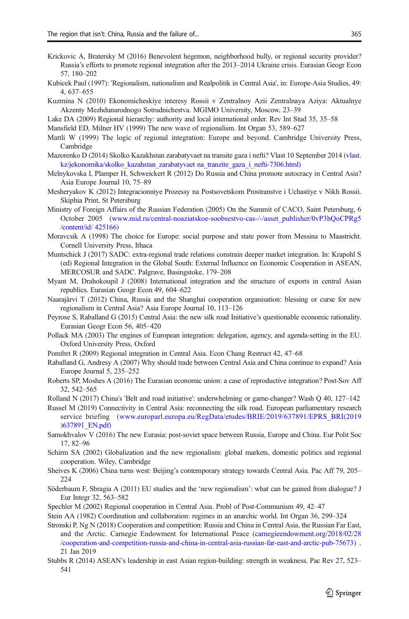- <span id="page-18-0"></span>Krickovic A, Bratersky M (2016) Benevolent hegemon, neighborhood bully, or regional security provider? Russia's efforts to promote regional integration after the 2013–2014 Ukraine crisis. Eurasian Geogr Econ 57, 180–202
- Kubicek Paul (1997): 'Regionalism, nationalism and Realpolitik in Central Asia', in: Europe-Asia Studies, 49: 4, 637–655
- Kuzmina N (2010) Ekonomicheskiye interesy Rossii v Zentralnoy Azii Zentralnaya Aziya: Aktualnye Akzenty Mezhdunarodnogo Sotrudnichestva. MGIMO University, Moscow, 23–39
- Lake DA (2009) Regional hierarchy: authority and local international order. Rev Int Stud 35, 35–58
- Mansfield ED, Milner HV (1999) The new wave of regionalism. Int Organ 53, 589–627
- Mattli W (1999) The logic of regional integration: Europe and beyond. Cambridge University Press, Cambridge
- Mazorenko D (2014) Skolko Kazakhstan zarabatyvaet na transite gaza i nefti? Vlast 10 September 2014 [\(vlast.](http://vlast.kz/jekonomika/skolko_kazahstan_zarabatyvaet%20na_tranzite_gaza_i_nefti-7306.html) kz/jekonomika/skolko kazahstan zarabatyvaet na tranzite gaza i nefti-7306.html)
- Melnykovska I, Plamper H, Schweickert R (2012) Do Russia and China promote autocracy in Central Asia? Asia Europe Journal 10, 75–89
- Mesheryakov K (2012) Integracionniye Prozessy na Postsovetskom Prostranstve i Uchastiye v Nikh Rossii. Skiphia Print, St Petersburg
- Ministry of Foreign Affairs of the Russian Federation (2005) On the Summit of CACO, Saint Petersburg, 6 October 2005 [\(www.mid.ru/central-noaziatskoe-soobsestvo-cas-/-/asset\\_publisher/0vP3hQoCPRg5](http://www.mid.ru/central-noaziatskoe-soobsestvo-cas-/-/asset_publisher/0vP3hQoCPRg5/content/id/%20425166) [/content/id/ 425166\)](http://www.mid.ru/central-noaziatskoe-soobsestvo-cas-/-/asset_publisher/0vP3hQoCPRg5/content/id/%20425166)
- Moravcsik A (1998) The choice for Europe: social purpose and state power from Messina to Maastricht. Cornell University Press, Ithaca
- Muntschick J (2017) SADC: extra-regional trade relations constrain deeper market integration. In: Krapohl S (ed) Regional Integration in the Global South: External Influence on Economic Cooperation in ASEAN, MERCOSUR and SADC. Palgrave, Basingstoke, 179–208
- Myant M, Drahokoupil J (2008) International integration and the structure of exports in central Asian republics. Eurasian Geogr Econ 49, 604–622
- Naarajärvi T (2012) China, Russia and the Shanghai cooperation organisation: blessing or curse for new regionalism in Central Asia? Asia Europe Journal 10, 113–126
- Peyrose S, Raballand G (2015) Central Asia: the new silk road Initiative's questionable economic rationality. Eurasian Geogr Econ 56, 405–420
- Pollack MA (2003) The engines of European integration: delegation, agency, and agenda-setting in the EU. Oxford University Press, Oxford
- Pomfret R (2009) Regional integration in Central Asia. Econ Chang Restruct 42, 47–68
- Raballand G, Andresy A (2007) Why should trade between Central Asia and China continue to expand? Asia Europe Journal 5, 235–252
- Roberts SP, Moshes A (2016) The Eurasian economic union: a case of reproductive integration? Post-Sov Aff 32, 542–565
- Rolland N (2017) China's 'Belt and road initiative': underwhelming or game-changer? Wash Q 40, 127–142
- Russel M (2019) Connectivity in Central Asia: reconnecting the silk road. European parliamentary research service briefing [\(www.europarl.europa.eu/RegData/etudes/BRIE/2019/637891/EPRS\\_BRI\(2019](http://www.europarl.europa.eu/RegData/etudes/BRIE/2019/637891/EPRS_BRI(2019)637891_EN.pdf) [\)637891\\_EN.pdf\)](http://www.europarl.europa.eu/RegData/etudes/BRIE/2019/637891/EPRS_BRI(2019)637891_EN.pdf)
- Samokhvalov V (2016) The new Eurasia: post-soviet space between Russia, Europe and China. Eur Polit Soc 17, 82–96
- Schirm SA (2002) Globalization and the new regionalism: global markets, domestic politics and regional cooperation. Wiley, Cambridge
- Sheives K (2006) China turns west: Beijing's contemporary strategy towards Central Asia. Pac Aff 79, 205– 224
- Söderbaum F, Sbragia A (2011) EU studies and the 'new regionalism': what can be gained from dialogue? J Eur Integr 32, 563–582
- Spechler M (2002) Regional cooperation in Central Asia. Probl of Post-Communism 49, 42–47
- Stein AA (1982) Coordination and collaboration: regimes in an anarchic world. Int Organ 36, 299–324
- Stronski P, Ng N (2018) Cooperation and competition: Russia and China in Central Asia, the Russian Far East, and the Arctic. Carnegie Endowment for International Peace [\(carnegieendowment.org/2018/02/28](http://carnegieendowment.org/2018/02/28/cooperation-and-competition-russia-and-china-in-central-asia-russian-far-east-and-arctic-pub-75673) [/cooperation-and-competition-russia-and-china-in-central-asia-russian-far-east-and-arctic-pub-75673\)](http://carnegieendowment.org/2018/02/28/cooperation-and-competition-russia-and-china-in-central-asia-russian-far-east-and-arctic-pub-75673) . 21 Jan 2019
- Stubbs R (2014) ASEAN's leadership in east Asian region-building: strength in weakness. Pac Rev 27, 523– 541